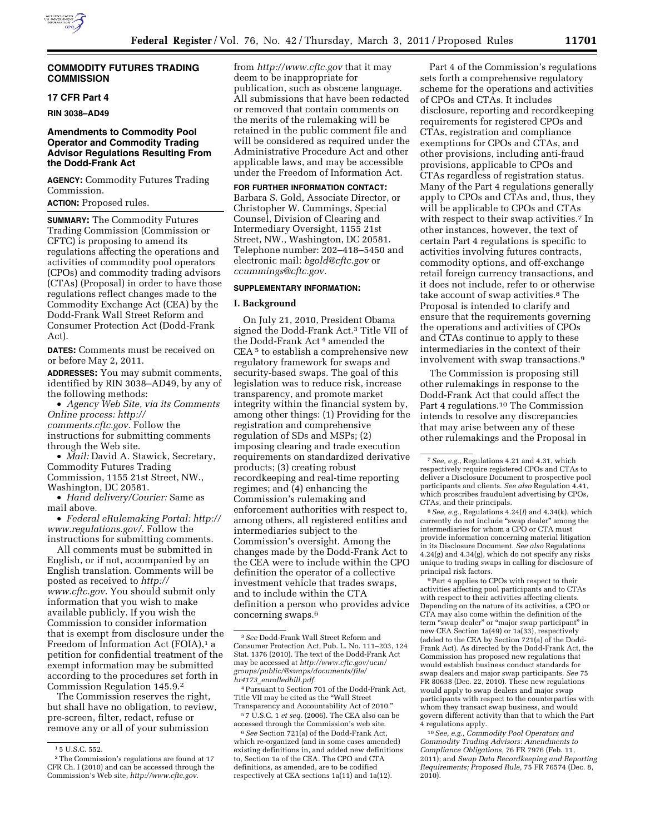

## **COMMODITY FUTURES TRADING COMMISSION**

## **17 CFR Part 4**

**RIN 3038–AD49** 

# **Amendments to Commodity Pool Operator and Commodity Trading Advisor Regulations Resulting From the Dodd-Frank Act**

**AGENCY:** Commodity Futures Trading Commission.

### **ACTION:** Proposed rules.

**SUMMARY:** The Commodity Futures Trading Commission (Commission or CFTC) is proposing to amend its regulations affecting the operations and activities of commodity pool operators (CPOs) and commodity trading advisors (CTAs) (Proposal) in order to have those regulations reflect changes made to the Commodity Exchange Act (CEA) by the Dodd-Frank Wall Street Reform and Consumer Protection Act (Dodd-Frank Act).

**DATES:** Comments must be received on or before May 2, 2011.

**ADDRESSES:** You may submit comments, identified by RIN 3038–AD49, by any of the following methods:

• *Agency Web Site, via its Comments Online process: [http://](http://comments.cftc.gov) [comments.cftc.gov.](http://comments.cftc.gov)* Follow the instructions for submitting comments through the Web site.

• *Mail:* David A. Stawick, Secretary, Commodity Futures Trading Commission, 1155 21st Street, NW., Washington, DC 20581.

• *Hand delivery/Courier:* Same as mail above.

• *Federal eRulemaking Portal: [http://](http://www.regulations.gov/)  [www.regulations.gov/.](http://www.regulations.gov/)* Follow the instructions for submitting comments.

All comments must be submitted in English, or if not, accompanied by an English translation. Comments will be posted as received to *[http://](http://www.cftc.gov) [www.cftc.gov](http://www.cftc.gov)*. You should submit only information that you wish to make available publicly. If you wish the Commission to consider information that is exempt from disclosure under the Freedom of Information Act (FOIA),<sup>1</sup> a petition for confidential treatment of the exempt information may be submitted according to the procedures set forth in Commission Regulation 145.9.2

The Commission reserves the right, but shall have no obligation, to review, pre-screen, filter, redact, refuse or remove any or all of your submission

from *<http://www.cftc.gov>* that it may deem to be inappropriate for publication, such as obscene language. All submissions that have been redacted or removed that contain comments on the merits of the rulemaking will be retained in the public comment file and will be considered as required under the Administrative Procedure Act and other applicable laws, and may be accessible under the Freedom of Information Act.

## **FOR FURTHER INFORMATION CONTACT:**

Barbara S. Gold, Associate Director, or Christopher W. Cummings, Special Counsel, Division of Clearing and Intermediary Oversight, 1155 21st Street, NW., Washington, DC 20581. Telephone number: 202–418–5450 and electronic mail: *[bgold@cftc.gov](mailto:bgold@cftc.gov)* or *[ccummings@cftc.gov.](mailto:ccummings@cftc.gov)* 

### **SUPPLEMENTARY INFORMATION:**

#### **I. Background**

On July 21, 2010, President Obama signed the Dodd-Frank Act.3 Title VII of the Dodd-Frank Act 4 amended the CEA<sup>5</sup> to establish a comprehensive new regulatory framework for swaps and security-based swaps. The goal of this legislation was to reduce risk, increase transparency, and promote market integrity within the financial system by, among other things: (1) Providing for the registration and comprehensive regulation of SDs and MSPs; (2) imposing clearing and trade execution requirements on standardized derivative products; (3) creating robust recordkeeping and real-time reporting regimes; and (4) enhancing the Commission's rulemaking and enforcement authorities with respect to, among others, all registered entities and intermediaries subject to the Commission's oversight. Among the changes made by the Dodd-Frank Act to the CEA were to include within the CPO definition the operator of a collective investment vehicle that trades swaps, and to include within the CTA definition a person who provides advice concerning swaps.6

5 7 U.S.C. 1 *et seq.* (2006). The CEA also can be accessed through the Commission's web site.

6*See* Section 721(a) of the Dodd-Frank Act, which re-organized (and in some cases amended) existing definitions in, and added new definitions to, Section 1a of the CEA. The CPO and CTA definitions, as amended, are to be codified respectively at CEA sections 1a(11) and 1a(12).

Part 4 of the Commission's regulations sets forth a comprehensive regulatory scheme for the operations and activities of CPOs and CTAs. It includes disclosure, reporting and recordkeeping requirements for registered CPOs and CTAs, registration and compliance exemptions for CPOs and CTAs, and other provisions, including anti-fraud provisions, applicable to CPOs and CTAs regardless of registration status. Many of the Part 4 regulations generally apply to CPOs and CTAs and, thus, they will be applicable to CPOs and CTAs with respect to their swap activities.7 In other instances, however, the text of certain Part 4 regulations is specific to activities involving futures contracts, commodity options, and off-exchange retail foreign currency transactions, and it does not include, refer to or otherwise take account of swap activities.<sup>8</sup> The Proposal is intended to clarify and ensure that the requirements governing the operations and activities of CPOs and CTAs continue to apply to these intermediaries in the context of their involvement with swap transactions.9

The Commission is proposing still other rulemakings in response to the Dodd-Frank Act that could affect the Part 4 regulations.10 The Commission intends to resolve any discrepancies that may arise between any of these other rulemakings and the Proposal in

8*See, e.g.,* Regulations 4.24(*l*) and 4.34(k), which currently do not include ''swap dealer'' among the intermediaries for whom a CPO or CTA must provide information concerning material litigation in its Disclosure Document. *See also* Regulations  $4.24(g)$  and  $4.34(g)$ , which do not specify any risks unique to trading swaps in calling for disclosure of principal risk factors.

9Part 4 applies to CPOs with respect to their activities affecting pool participants and to CTAs with respect to their activities affecting clients. Depending on the nature of its activities, a CPO or CTA may also come within the definition of the term "swap dealer" or "major swap participant" in new CEA Section 1a(49) or 1a(33), respectively (added to the CEA by Section 721(a) of the Dodd-Frank Act). As directed by the Dodd-Frank Act, the Commission has proposed new regulations that would establish business conduct standards for swap dealers and major swap participants. *See* 75 FR 80638 (Dec. 22, 2010). These new regulations would apply to swap dealers and major swap participants with respect to the counterparties with whom they transact swap business, and would govern different activity than that to which the Part 4 regulations apply.

10*See, e.g., Commodity Pool Operators and Commodity Trading Advisors: Amendments to Compliance Obligations,* 76 FR 7976 (Feb. 11, 2011); and *Swap Data Recordkeeping and Reporting Requirements; Proposed Rule,* 75 FR 76574 (Dec. 8, 2010).

<sup>1</sup> 5 U.S.C. 552.

<sup>2</sup>The Commission's regulations are found at 17 CFR Ch. I (2010) and can be accessed through the Commission's Web site, *[http://www.cftc.gov.](http://www.cftc.gov)* 

<sup>3</sup>*See* Dodd-Frank Wall Street Reform and Consumer Protection Act, Pub. L. No. 111–203, 124 Stat. 1376 (2010). The text of the Dodd-Frank Act may be accessed at *http://www.cftc.gov/ucm/ [groups/public/@swaps/documents/file/](http://www.cftc.gov/ucm/groups/public/@swaps/documents/file/hr4173_enrollbill.pdf)  hr4173*\_*enrolledbill.pdf.* 

<sup>4</sup>Pursuant to Section 701 of the Dodd-Frank Act, Title VII may be cited as the ''Wall Street Transparency and Accountability Act of 2010.''

<sup>7</sup>*See, e.g.,* Regulations 4.21 and 4.31, which respectively require registered CPOs and CTAs to deliver a Disclosure Document to prospective pool participants and clients. *See also* Regulation 4.41, which proscribes fraudulent advertising by CPOs, CTAs, and their principals.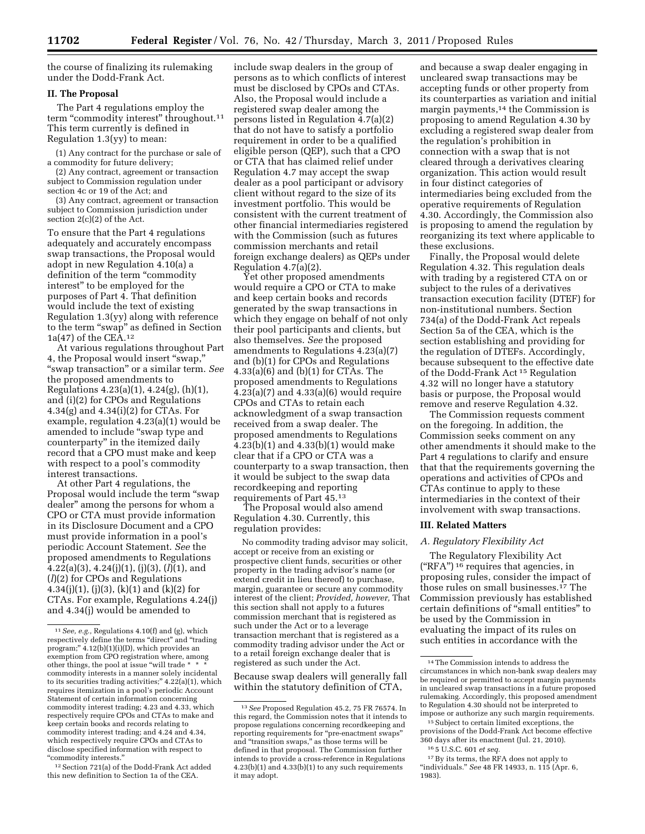the course of finalizing its rulemaking under the Dodd-Frank Act.

### **II. The Proposal**

The Part 4 regulations employ the term "commodity interest" throughout.<sup>11</sup> This term currently is defined in Regulation 1.3(yy) to mean:

(1) Any contract for the purchase or sale of a commodity for future delivery;

(2) Any contract, agreement or transaction subject to Commission regulation under section 4c or 19 of the Act; and

(3) Any contract, agreement or transaction subject to Commission jurisdiction under section 2(c)(2) of the Act.

To ensure that the Part 4 regulations adequately and accurately encompass swap transactions, the Proposal would adopt in new Regulation 4.10(a) a definition of the term "commodity" interest'' to be employed for the purposes of Part 4. That definition would include the text of existing Regulation 1.3(yy) along with reference to the term ''swap'' as defined in Section 1a(47) of the CEA.12

At various regulations throughout Part 4, the Proposal would insert ''swap,'' ''swap transaction'' or a similar term. *See*  the proposed amendments to Regulations 4.23(a)(1), 4.24(g), (h)(1), and (i)(2) for CPOs and Regulations 4.34(g) and 4.34(i)(2) for CTAs. For example, regulation 4.23(a)(1) would be amended to include ''swap type and counterparty'' in the itemized daily record that a CPO must make and keep with respect to a pool's commodity interest transactions.

At other Part 4 regulations, the Proposal would include the term ''swap dealer'' among the persons for whom a CPO or CTA must provide information in its Disclosure Document and a CPO must provide information in a pool's periodic Account Statement. *See* the proposed amendments to Regulations 4.22(a)(3), 4.24(j)(1), (j)(3), (*l*)(1), and (*l*)(2) for CPOs and Regulations 4.34(j)(1), (j)(3), (k)(1) and (k)(2) for CTAs. For example, Regulations 4.24(j) and 4.34(j) would be amended to

12Section 721(a) of the Dodd-Frank Act added this new definition to Section 1a of the CEA.

include swap dealers in the group of persons as to which conflicts of interest must be disclosed by CPOs and CTAs. Also, the Proposal would include a registered swap dealer among the persons listed in Regulation 4.7(a)(2) that do not have to satisfy a portfolio requirement in order to be a qualified eligible person (QEP), such that a CPO or CTA that has claimed relief under Regulation 4.7 may accept the swap dealer as a pool participant or advisory client without regard to the size of its investment portfolio. This would be consistent with the current treatment of other financial intermediaries registered with the Commission (such as futures commission merchants and retail foreign exchange dealers) as QEPs under Regulation 4.7(a)(2).

Yet other proposed amendments would require a CPO or CTA to make and keep certain books and records generated by the swap transactions in which they engage on behalf of not only their pool participants and clients, but also themselves. *See* the proposed amendments to Regulations 4.23(a)(7) and (b)(1) for CPOs and Regulations 4.33(a)(6) and (b)(1) for CTAs. The proposed amendments to Regulations  $4.23(a)(7)$  and  $4.33(a)(6)$  would require CPOs and CTAs to retain each acknowledgment of a swap transaction received from a swap dealer. The proposed amendments to Regulations  $4.23(b)(1)$  and  $4.33(b)(1)$  would make clear that if a CPO or CTA was a counterparty to a swap transaction, then it would be subject to the swap data recordkeeping and reporting requirements of Part 45.13

The Proposal would also amend Regulation 4.30. Currently, this regulation provides:

No commodity trading advisor may solicit, accept or receive from an existing or prospective client funds, securities or other property in the trading advisor's name (or extend credit in lieu thereof) to purchase, margin, guarantee or secure any commodity interest of the client; *Provided, however,* That this section shall not apply to a futures commission merchant that is registered as such under the Act or to a leverage transaction merchant that is registered as a commodity trading advisor under the Act or to a retail foreign exchange dealer that is registered as such under the Act.

Because swap dealers will generally fall within the statutory definition of CTA,

and because a swap dealer engaging in uncleared swap transactions may be accepting funds or other property from its counterparties as variation and initial margin payments,14 the Commission is proposing to amend Regulation 4.30 by excluding a registered swap dealer from the regulation's prohibition in connection with a swap that is not cleared through a derivatives clearing organization. This action would result in four distinct categories of intermediaries being excluded from the operative requirements of Regulation 4.30. Accordingly, the Commission also is proposing to amend the regulation by reorganizing its text where applicable to these exclusions.

Finally, the Proposal would delete Regulation 4.32. This regulation deals with trading by a registered CTA on or subject to the rules of a derivatives transaction execution facility (DTEF) for non-institutional numbers. Section 734(a) of the Dodd-Frank Act repeals Section 5a of the CEA, which is the section establishing and providing for the regulation of DTEFs. Accordingly, because subsequent to the effective date of the Dodd-Frank Act 15 Regulation 4.32 will no longer have a statutory basis or purpose, the Proposal would remove and reserve Regulation 4.32.

The Commission requests comment on the foregoing. In addition, the Commission seeks comment on any other amendments it should make to the Part 4 regulations to clarify and ensure that that the requirements governing the operations and activities of CPOs and CTAs continue to apply to these intermediaries in the context of their involvement with swap transactions.

### **III. Related Matters**

#### *A. Regulatory Flexibility Act*

The Regulatory Flexibility Act ("RFA")  $^{16}$  requires that agencies, in proposing rules, consider the impact of those rules on small businesses.17 The Commission previously has established certain definitions of ''small entities'' to be used by the Commission in evaluating the impact of its rules on such entities in accordance with the

15Subject to certain limited exceptions, the provisions of the Dodd-Frank Act become effective 360 days after its enactment (Jul. 21, 2010).

16 5 U.S.C. 601 *et seq.* 

<sup>11</sup>*See, e.g.,* Regulations 4.10(f) and (g), which respectively define the terms "direct" and "trading program;'' 4.12(b)(1)(i)(D), which provides an exemption from CPO registration where, among other things, the pool at issue "will trade \* commodity interests in a manner solely incidental to its securities trading activities;"  $4.22(a)(1)$ , which requires itemization in a pool's periodic Account Statement of certain information concerning commodity interest trading; 4.23 and 4.33, which respectively require CPOs and CTAs to make and keep certain books and records relating to commodity interest trading; and 4.24 and 4.34, which respectively require CPOs and CTAs to disclose specified information with respect to ''commodity interests.''

<sup>13</sup>*See* Proposed Regulation 45.2, 75 FR 76574. In this regard, the Commission notes that it intends to propose regulations concerning recordkeeping and reporting requirements for ''pre-enactment swaps'' and "transition swaps," as those terms will be defined in that proposal. The Commission further intends to provide a cross-reference in Regulations 4.23(b)(1) and 4.33(b)(1) to any such requirements it may adopt.

<sup>14</sup>The Commission intends to address the circumstances in which non-bank swap dealers may be required or permitted to accept margin payments in uncleared swap transactions in a future proposed rulemaking. Accordingly, this proposed amendment to Regulation 4.30 should not be interpreted to impose or authorize any such margin requirements.

<sup>&</sup>lt;sup>17</sup> By its terms, the RFA does not apply to ''individuals.'' *See* 48 FR 14933, n. 115 (Apr. 6, 1983).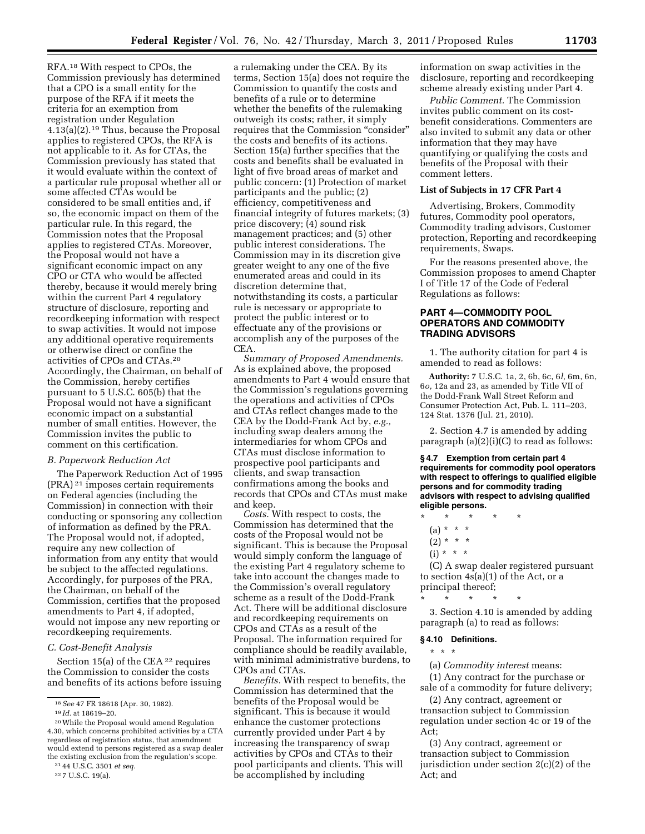RFA.18 With respect to CPOs, the Commission previously has determined that a CPO is a small entity for the purpose of the RFA if it meets the criteria for an exemption from registration under Regulation 4.13(a)(2).19 Thus, because the Proposal applies to registered CPOs, the RFA is not applicable to it. As for CTAs, the Commission previously has stated that it would evaluate within the context of a particular rule proposal whether all or some affected CTAs would be considered to be small entities and, if so, the economic impact on them of the particular rule. In this regard, the Commission notes that the Proposal applies to registered CTAs. Moreover, the Proposal would not have a significant economic impact on any CPO or CTA who would be affected thereby, because it would merely bring within the current Part 4 regulatory structure of disclosure, reporting and recordkeeping information with respect to swap activities. It would not impose any additional operative requirements or otherwise direct or confine the activities of CPOs and CTAs.20 Accordingly, the Chairman, on behalf of the Commission, hereby certifies pursuant to 5 U.S.C. 605(b) that the Proposal would not have a significant economic impact on a substantial number of small entities. However, the Commission invites the public to comment on this certification.

#### *B. Paperwork Reduction Act*

The Paperwork Reduction Act of 1995 (PRA) 21 imposes certain requirements on Federal agencies (including the Commission) in connection with their conducting or sponsoring any collection of information as defined by the PRA. The Proposal would not, if adopted, require any new collection of information from any entity that would be subject to the affected regulations. Accordingly, for purposes of the PRA, the Chairman, on behalf of the Commission, certifies that the proposed amendments to Part 4, if adopted, would not impose any new reporting or recordkeeping requirements.

#### *C. Cost-Benefit Analysis*

Section  $15(a)$  of the CEA <sup>22</sup> requires the Commission to consider the costs and benefits of its actions before issuing

a rulemaking under the CEA. By its terms, Section 15(a) does not require the Commission to quantify the costs and benefits of a rule or to determine whether the benefits of the rulemaking outweigh its costs; rather, it simply requires that the Commission ''consider'' the costs and benefits of its actions. Section 15(a) further specifies that the costs and benefits shall be evaluated in light of five broad areas of market and public concern: (1) Protection of market participants and the public; (2) efficiency, competitiveness and financial integrity of futures markets; (3) price discovery; (4) sound risk management practices; and (5) other public interest considerations. The Commission may in its discretion give greater weight to any one of the five enumerated areas and could in its discretion determine that, notwithstanding its costs, a particular rule is necessary or appropriate to protect the public interest or to effectuate any of the provisions or accomplish any of the purposes of the CEA.

*Summary of Proposed Amendments.*  As is explained above, the proposed amendments to Part 4 would ensure that the Commission's regulations governing the operations and activities of CPOs and CTAs reflect changes made to the CEA by the Dodd-Frank Act by, *e.g.,*  including swap dealers among the intermediaries for whom CPOs and CTAs must disclose information to prospective pool participants and clients, and swap transaction confirmations among the books and records that CPOs and CTAs must make and keep.

*Costs.* With respect to costs, the Commission has determined that the costs of the Proposal would not be significant. This is because the Proposal would simply conform the language of the existing Part 4 regulatory scheme to take into account the changes made to the Commission's overall regulatory scheme as a result of the Dodd-Frank Act. There will be additional disclosure and recordkeeping requirements on CPOs and CTAs as a result of the Proposal. The information required for compliance should be readily available, with minimal administrative burdens, to CPOs and CTAs.

*Benefits.* With respect to benefits, the Commission has determined that the benefits of the Proposal would be significant. This is because it would enhance the customer protections currently provided under Part 4 by increasing the transparency of swap activities by CPOs and CTAs to their pool participants and clients. This will be accomplished by including

information on swap activities in the disclosure, reporting and recordkeeping scheme already existing under Part 4.

*Public Comment.* The Commission invites public comment on its costbenefit considerations. Commenters are also invited to submit any data or other information that they may have quantifying or qualifying the costs and benefits of the Proposal with their comment letters.

### **List of Subjects in 17 CFR Part 4**

Advertising, Brokers, Commodity futures, Commodity pool operators, Commodity trading advisors, Customer protection, Reporting and recordkeeping requirements, Swaps.

For the reasons presented above, the Commission proposes to amend Chapter I of Title 17 of the Code of Federal Regulations as follows:

# **PART 4—COMMODITY POOL OPERATORS AND COMMODITY TRADING ADVISORS**

1. The authority citation for part 4 is amended to read as follows:

**Authority:** 7 U.S.C. 1a, 2, 6b, 6c, 6*l,* 6m, 6n, 6*o,* 12a and 23, as amended by Title VII of the Dodd-Frank Wall Street Reform and Consumer Protection Act, Pub. L. 111–203, 124 Stat. 1376 (Jul. 21, 2010).

2. Section 4.7 is amended by adding paragraph  $(a)(2)(i)(C)$  to read as follows:

**§ 4.7 Exemption from certain part 4 requirements for commodity pool operators with respect to offerings to qualified eligible persons and for commodity trading advisors with respect to advising qualified eligible persons.** 

- \* \* \* \* \*
- $(a) * * * *$
- $(2) * * * *$
- $(i) * * * *$

(C) A swap dealer registered pursuant to section 4s(a)(1) of the Act, or a principal thereof;

\* \* \* \* \* 3. Section 4.10 is amended by adding paragraph (a) to read as follows:

#### **§ 4.10 Definitions.**

\* \* \*

(a) *Commodity interest* means:

(1) Any contract for the purchase or sale of a commodity for future delivery;

(2) Any contract, agreement or transaction subject to Commission regulation under section 4c or 19 of the Act;

(3) Any contract, agreement or transaction subject to Commission jurisdiction under section 2(c)(2) of the Act; and

<sup>18</sup>*See* 47 FR 18618 (Apr. 30, 1982).

<sup>19</sup> *Id.* at 18619–20.

<sup>20</sup>While the Proposal would amend Regulation 4.30, which concerns prohibited activities by a CTA regardless of registration status, that amendment would extend to persons registered as a swap dealer the existing exclusion from the regulation's scope.

<sup>21</sup> 44 U.S.C. 3501 *et seq.*  22 7 U.S.C. 19(a).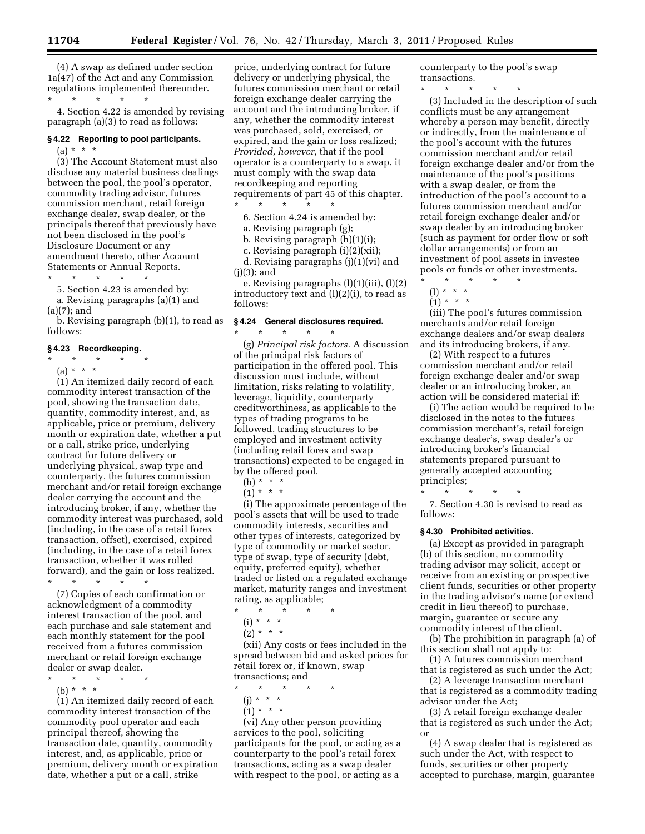(4) A swap as defined under section 1a(47) of the Act and any Commission regulations implemented thereunder.  $\star$   $\qquad$   $\star$   $\qquad$   $\star$ 

4. Section 4.22 is amended by revising paragraph (a)(3) to read as follows:

## **§ 4.22 Reporting to pool participants.**   $(a) * * * *$

(3) The Account Statement must also disclose any material business dealings between the pool, the pool's operator, commodity trading advisor, futures commission merchant, retail foreign exchange dealer, swap dealer, or the principals thereof that previously have not been disclosed in the pool's Disclosure Document or any amendment thereto, other Account Statements or Annual Reports.

\* \* \* \* \*

5. Section 4.23 is amended by: a. Revising paragraphs (a)(1) and  $(a)(7)$ ; and

b. Revising paragraph (b)(1), to read as follows:

#### **§ 4.23 Recordkeeping.**

\* \* \* \* \*

(a) \* \* \*

(1) An itemized daily record of each commodity interest transaction of the pool, showing the transaction date, quantity, commodity interest, and, as applicable, price or premium, delivery month or expiration date, whether a put or a call, strike price, underlying contract for future delivery or underlying physical, swap type and counterparty, the futures commission merchant and/or retail foreign exchange dealer carrying the account and the introducing broker, if any, whether the commodity interest was purchased, sold (including, in the case of a retail forex transaction, offset), exercised, expired (including, in the case of a retail forex transaction, whether it was rolled forward), and the gain or loss realized. \* \* \* \* \*

(7) Copies of each confirmation or acknowledgment of a commodity interest transaction of the pool, and each purchase and sale statement and each monthly statement for the pool received from a futures commission merchant or retail foreign exchange dealer or swap dealer.

 $\star$   $\star$   $\star$ 

(b) \* \* \* (1) An itemized daily record of each commodity interest transaction of the commodity pool operator and each principal thereof, showing the transaction date, quantity, commodity interest, and, as applicable, price or premium, delivery month or expiration date, whether a put or a call, strike

price, underlying contract for future delivery or underlying physical, the futures commission merchant or retail foreign exchange dealer carrying the account and the introducing broker, if any, whether the commodity interest was purchased, sold, exercised, or expired, and the gain or loss realized; *Provided, however,* that if the pool operator is a counterparty to a swap, it must comply with the swap data recordkeeping and reporting requirements of part 45 of this chapter.

\* \* \* \* \*

6. Section 4.24 is amended by:

- a. Revising paragraph (g);
- b. Revising paragraph (h)(1)(i);

c. Revising paragraph (i)(2)(xii);

d. Revising paragraphs (j)(1)(vi) and (j)(3); and

e. Revising paragraphs (l)(1)(iii), (l)(2) introductory text and  $(l)(2)(i)$ , to read as follows:

# **§ 4.24 General disclosures required.**

\* \* \* \* \* (g) *Principal risk factors.* A discussion of the principal risk factors of participation in the offered pool. This discussion must include, without limitation, risks relating to volatility, leverage, liquidity, counterparty creditworthiness, as applicable to the types of trading programs to be followed, trading structures to be employed and investment activity (including retail forex and swap transactions) expected to be engaged in by the offered pool.

(h) \* \* \*

 $(1) * * * *$ 

(i) The approximate percentage of the pool's assets that will be used to trade commodity interests, securities and other types of interests, categorized by type of commodity or market sector, type of swap, type of security (debt, equity, preferred equity), whether traded or listed on a regulated exchange market, maturity ranges and investment rating, as applicable;

- \* \* \* \* \* (i) \* \* \*
	- $(2) * * * *$

(xii) Any costs or fees included in the spread between bid and asked prices for retail forex or, if known, swap transactions; and

\* \* \* \* \*

- (j) \* \* \*
- $(1) * * * *$

(vi) Any other person providing services to the pool, soliciting participants for the pool, or acting as a counterparty to the pool's retail forex transactions, acting as a swap dealer with respect to the pool, or acting as a

counterparty to the pool's swap transactions.

\* \* \* \* \* (3) Included in the description of such conflicts must be any arrangement whereby a person may benefit, directly or indirectly, from the maintenance of the pool's account with the futures commission merchant and/or retail foreign exchange dealer and/or from the maintenance of the pool's positions with a swap dealer, or from the introduction of the pool's account to a futures commission merchant and/or retail foreign exchange dealer and/or swap dealer by an introducing broker (such as payment for order flow or soft dollar arrangements) or from an investment of pool assets in investee pools or funds or other investments. \* \* \* \* \*

(l) \* \* \*

 $(1) * * * *$ 

(iii) The pool's futures commission merchants and/or retail foreign exchange dealers and/or swap dealers and its introducing brokers, if any.

(2) With respect to a futures commission merchant and/or retail foreign exchange dealer and/or swap dealer or an introducing broker, an action will be considered material if:

(i) The action would be required to be disclosed in the notes to the futures commission merchant's, retail foreign exchange dealer's, swap dealer's or introducing broker's financial statements prepared pursuant to generally accepted accounting principles;

\* \* \* \* \*

7. Section 4.30 is revised to read as follows:

#### **§ 4.30 Prohibited activities.**

(a) Except as provided in paragraph (b) of this section, no commodity trading advisor may solicit, accept or receive from an existing or prospective client funds, securities or other property in the trading advisor's name (or extend credit in lieu thereof) to purchase, margin, guarantee or secure any commodity interest of the client.

(b) The prohibition in paragraph (a) of this section shall not apply to:

(1) A futures commission merchant that is registered as such under the Act;

(2) A leverage transaction merchant that is registered as a commodity trading advisor under the Act;

(3) A retail foreign exchange dealer that is registered as such under the Act; or

(4) A swap dealer that is registered as such under the Act, with respect to funds, securities or other property accepted to purchase, margin, guarantee